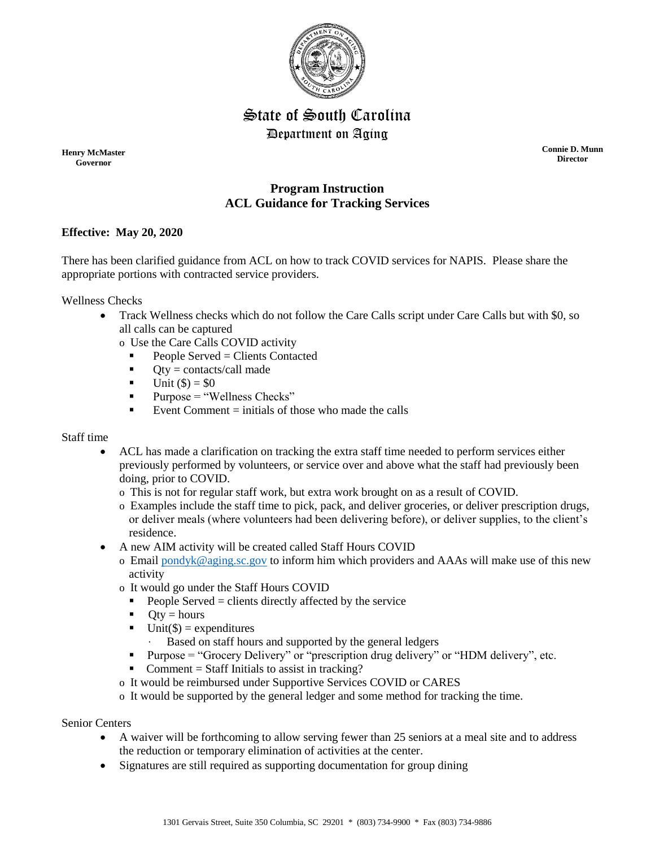

# State of South Carolina Department on Aging

**Henry McMaster Governor**

**Connie D. Munn Director**

## **Program Instruction ACL Guidance for Tracking Services**

### **Effective: May 20, 2020**

There has been clarified guidance from ACL on how to track COVID services for NAPIS. Please share the appropriate portions with contracted service providers.

Wellness Checks

- Track Wellness checks which do not follow the Care Calls script under Care Calls but with \$0, so all calls can be captured
	- o Use the Care Calls COVID activity
		- People Served = Clients Contacted
		- $\bullet$  Qty = contacts/call made
		- $-$  Unit (\$) = \$0
		- $\blacksquare$  Purpose = "Wellness Checks"
		- Event Comment  $=$  initials of those who made the calls

#### Staff time

- ACL has made a clarification on tracking the extra staff time needed to perform services either previously performed by volunteers, or service over and above what the staff had previously been doing, prior to COVID.
	- o This is not for regular staff work, but extra work brought on as a result of COVID.
	- o Examples include the staff time to pick, pack, and deliver groceries, or deliver prescription drugs, or deliver meals (where volunteers had been delivering before), or deliver supplies, to the client's residence.
- A new AIM activity will be created called Staff Hours COVID
	- o Email [pondyk@aging.sc.gov](mailto:pondyk@aging.sc.gov) to inform him which providers and AAAs will make use of this new activity
	- o It would go under the Staff Hours COVID
		- People Served  $=$  clients directly affected by the service
		- $\bullet$  Oty = hours
		- **Unit(\$)** = expenditures
			- Based on staff hours and supported by the general ledgers
		- Purpose = "Grocery Delivery" or "prescription drug delivery" or "HDM delivery", etc.
		- Comment = Staff Initials to assist in tracking?
	- o It would be reimbursed under Supportive Services COVID or CARES
	- o It would be supported by the general ledger and some method for tracking the time.

#### Senior Centers

- A waiver will be forthcoming to allow serving fewer than 25 seniors at a meal site and to address the reduction or temporary elimination of activities at the center.
- Signatures are still required as supporting documentation for group dining